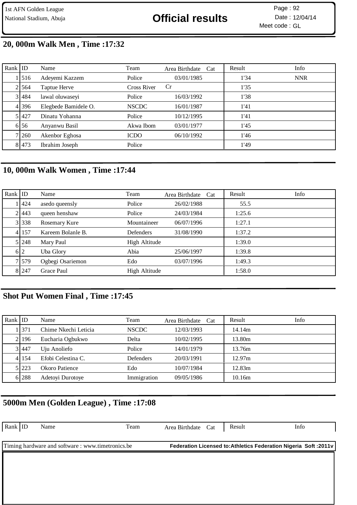# National Stadium, Abuja **12/04/14 Official results** Date : 12/04/14

Meet code : GL Page: 92

# **20, 000m Walk Men , Time :17:32**

| Rank $ $ ID |         | Name                 | Team               | Area Birthdate Cat | Result | Info       |
|-------------|---------|----------------------|--------------------|--------------------|--------|------------|
|             | 1 516   | Adeyemi Kazzem       | Police             | 03/01/1985         | 1'34   | <b>NNR</b> |
|             | 2 564   | Taptue Herve         | <b>Cross River</b> | Cr                 | 1'35   |            |
|             | 3 484   | lawal oluwaseyi      | Police             | 16/03/1992         | 1'38   |            |
|             | 4 396   | Elegbede Bamidele O. | <b>NSCDC</b>       | 16/01/1987         | 1'41   |            |
|             | 5 427   | Dinatu Yohanna       | Police             | 10/12/1995         | 1'41   |            |
|             | 6 5 6   | Anyanwu Basil        | Akwa Ibom          | 03/01/1977         | 1'45   |            |
|             | 7 260   | Akenbor Eghosa       | <b>ICDO</b>        | 06/10/1992         | 1'46   |            |
|             | 8 4 7 3 | Ibrahim Joseph       | Police             |                    | 1'49   |            |

### **10, 000m Walk Women , Time :17:44**

| Rank $ $ ID |         | Name              | Team          | Area Birthdate Cat | Result | Info |
|-------------|---------|-------------------|---------------|--------------------|--------|------|
|             | 1   424 | asedo queensly    | Police        | 26/02/1988         | 55.5   |      |
|             | 2 443   | queen henshaw     | Police        | 24/03/1984         | 1:25.6 |      |
|             | 3 338   | Rosemary Kure     | Mountaineer   | 06/07/1996         | 1:27.1 |      |
|             | 4 157   | Kareem Bolanle B. | Defenders     | 31/08/1990         | 1:37.2 |      |
|             | 5 248   | Mary Paul         | High Altitude |                    | 1:39.0 |      |
|             | 6 2     | Uba Glory         | Abia          | 25/06/1997         | 1:39.8 |      |
|             | 7 579   | Ogbegi Osariemon  | Edo           | 03/07/1996         | 1:49.3 |      |
|             | 8 247   | Grace Paul        | High Altitude |                    | 1:58.0 |      |

### **Shot Put Women Final , Time :17:45**

| Rank ID |           | Name                 | Team         | Area Birthdate Cat | Result | <b>Info</b> |
|---------|-----------|----------------------|--------------|--------------------|--------|-------------|
|         | 1371      | Chime Nkechi Leticia | <b>NSCDC</b> | 12/03/1993         | 14.14m |             |
|         | 2.196     | Eucharia Ogbukwo     | Delta        | 10/02/1995         | 13.80m |             |
|         | 3 447     | Uju Anoliefo         | Police       | 14/01/1979         | 13.76m |             |
|         | 4 1 1 5 4 | Efobi Celestina C.   | Defenders    | 20/03/1991         | 12.97m |             |
|         | 5 223     | Okoro Patience       | Edo          | 10/07/1984         | 12.83m |             |
|         | 6 288     | Adetoyi Durotoye     | Immigration  | 09/05/1986         | 10.16m |             |

### **5000m Men (Golden League) , Time :17:08**

| Rank ID | Name                                              | Team | Area Birthdate Cat | Result | Info                                                              |
|---------|---------------------------------------------------|------|--------------------|--------|-------------------------------------------------------------------|
|         | Timing hardware and software : www.timetronics.be |      |                    |        | Federation Licensed to: Athletics Federation Nigeria Soft : 2011v |
|         |                                                   |      |                    |        |                                                                   |
|         |                                                   |      |                    |        |                                                                   |
|         |                                                   |      |                    |        |                                                                   |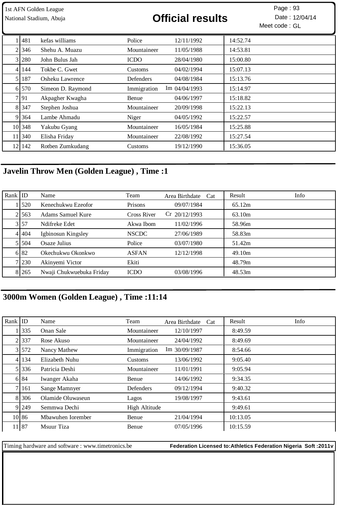| 1st AFN Golden League<br>National Stadium, Abuja |         |                   | <b>Official results</b> |                      |          | Page: 93<br>Date: 12/04/14<br>Meet code: GL |
|--------------------------------------------------|---------|-------------------|-------------------------|----------------------|----------|---------------------------------------------|
|                                                  | 481     | kefas williams    | Police                  | 12/11/1992           | 14:52.74 |                                             |
| 2                                                | 346     | Shehu A. Muazu    | Mountaineer             | 11/05/1988           | 14:53.81 |                                             |
| 3 <sub>l</sub>                                   | 280     | John Bulus Jah    | <b>ICDO</b>             | 28/04/1980           | 15:00.80 |                                             |
| 4                                                | 144     | Tokbe C. Gwet     | Customs                 | 04/02/1994           | 15:07.13 |                                             |
| 5 <sub>l</sub>                                   | 187     | Osheku Lawrence   | Defenders               | 04/08/1984           | 15:13.76 |                                             |
|                                                  | 6 570   | Simeon D. Raymond | Immigration             | $\rm{Im}$ 04/04/1993 | 15:14.97 |                                             |
|                                                  | 7 91    | Akpagher Kwagha   | Benue                   | 04/06/1997           | 15:18.82 |                                             |
|                                                  | 8 3 4 7 | Stephen Joshua    | Mountaineer             | 20/09/1998           | 15:22.13 |                                             |
|                                                  | 9 364   | Lambe Ahmadu      | Niger                   | 04/05/1992           | 15:22.57 |                                             |
|                                                  | 10 348  | Yakubu Gyang      | Mountaineer             | 16/05/1984           | 15:25.88 |                                             |
| 11                                               | 340     | Elisha Friday     | Mountaineer             | 22/08/1992           | 15:27.54 |                                             |
|                                                  | 12 142  | Rotben Zumkudang  | Customs                 | 19/12/1990           | 15:36.05 |                                             |

# **Javelin Throw Men (Golden League) , Time :1**

| Rank $ $ ID |       | Name                     | Team         | Area Birthdate Cat | Info<br>Result |
|-------------|-------|--------------------------|--------------|--------------------|----------------|
|             | 1520  | Kenechukwu Ezeofor       | Prisons      | 09/07/1984         | 65.12m         |
|             | 21563 | Adams Samuel Kure        | Cross River  | $Cr$ 20/12/1993    | 63.10m         |
|             | 3 57  | Ndifreke Edet            | Akwa Ibom    | 11/02/1996         | 58.96m         |
|             | 41404 | Igbinosun Kingsley       | <b>NSCDC</b> | 27/06/1989         | 58.83m         |
|             | 51504 | Osaze Julius             | Police       | 03/07/1980         | 51.42m         |
|             | 6 82  | Okechukwu Okonkwo        | <b>ASFAN</b> | 12/12/1998         | 49.10m         |
|             | 7 230 | Akinyemi Victor          | Ekiti        |                    | 48.79m         |
|             | 8 265 | Nwaji Chukwuebuka Friday | <b>ICDO</b>  | 03/08/1996         | 48.53m         |

# **3000m Women (Golden League) , Time :11:14**

| Rank $ $ ID |           | Name              | Team          | Area Birthdate<br>Cat | Result   | Info |
|-------------|-----------|-------------------|---------------|-----------------------|----------|------|
|             | 335       | Onan Sale         | Mountaineer   | 12/10/1997            | 8:49.59  |      |
|             | 2.337     | Rose Akuso        | Mountaineer   | 24/04/1992            | 8:49.69  |      |
|             | 3 572     | Nancy Mathew      | Immigration   | Im $30/09/1987$       | 8:54.66  |      |
|             | 4 1 1 3 4 | Elizabeth Nuhu    | Customs       | 13/06/1992            | 9:05.40  |      |
|             | 5 336     | Patricia Deshi    | Mountaineer   | 11/01/1991            | 9:05.94  |      |
|             | 6 8 4     | Iwanger Akaha     | <b>Benue</b>  | 14/06/1992            | 9:34.35  |      |
|             | 7 1 1 6 1 | Sange Mamnyer     | Defenders     | 09/12/1994            | 9:40.32  |      |
|             | 8 306     | Olamide Oluwaseun | Lagos         | 19/08/1997            | 9:43.61  |      |
|             | 9 249     | Semmwa Dechi      | High Altitude |                       | 9:49.61  |      |
|             | 10 86     | Mbawuhen Iorember | Benue         | 21/04/1994            | 10:13.05 |      |
|             | 11 87     | Msuur Tiza        | Benue         | 07/05/1996            | 10:15.59 |      |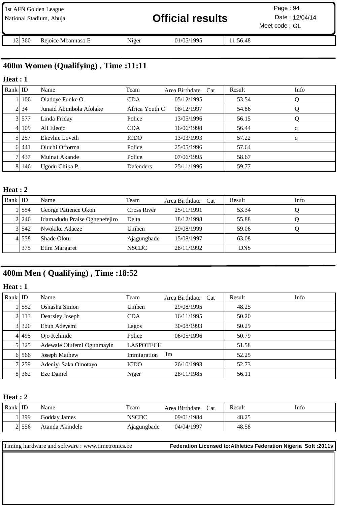| 1st AFN Golden League<br>National Stadium, Abuja |                    |       | <b>Official results</b> |          | Page: $94$<br>Date: 12/04/14<br>Meet code: GL |  |
|--------------------------------------------------|--------------------|-------|-------------------------|----------|-----------------------------------------------|--|
| 121360                                           | Rejoice Mbannaso E | Niger | 01/05/1995              | 11:56.48 |                                               |  |

# **400m Women (Qualifying) , Time :11:11**

### **Heat : 1**

| Rank $ $ ID |       | Name                    | Team           | Area Birthdate Cat | Result | Info |
|-------------|-------|-------------------------|----------------|--------------------|--------|------|
|             | 106   | Oladoye Funke O.        | <b>CDA</b>     | 05/12/1995         | 53.54  | Q    |
|             | 2 34  | Junaid Abimbola Afolake | Africa Youth C | 08/12/1997         | 54.86  | Q    |
|             | 3.577 | Linda Friday            | Police         | 13/05/1996         | 56.15  | Q    |
|             | 4 109 | Ali Eleojo              | <b>CDA</b>     | 16/06/1998         | 56.44  | q    |
|             | 5 257 | Ekevhie Loveth          | <b>ICDO</b>    | 13/03/1993         | 57.22  | q    |
|             | 6 441 | Oluchi Offorma          | Police         | 25/05/1996         | 57.64  |      |
|             | 71437 | Muinat Akande           | Police         | 07/06/1995         | 58.67  |      |
|             | 8 146 | Ugodu Chika P.          | Defenders      | 25/11/1996         | 59.77  |      |

#### **Heat : 2**

| Rank ID |       | Name                          | Team         | Area Birthdate Cat | Result     | Info |
|---------|-------|-------------------------------|--------------|--------------------|------------|------|
|         | 1554  | George Patience Okon          | Cross River  | 25/11/1991         | 53.34      |      |
|         | 2 246 | Idamadudu Praise Oghenefejiro | Delta        | 18/12/1998         | 55.88      |      |
|         | 31542 | Nwokike Adaeze                | Uniben       | 29/08/1999         | 59.06      |      |
|         | 41558 | Shade Olotu                   | Ajagungbade  | 15/08/1997         | 63.08      |      |
|         | 375   | Etim Margaret                 | <b>NSCDC</b> | 28/11/1992         | <b>DNS</b> |      |

# **400m Men ( Qualifying) , Time :18:52**

#### **Heat : 1**

| Rank $ $ ID |         | Name                      | Team             | Area Birthdate<br>Cat | Info<br>Result |  |
|-------------|---------|---------------------------|------------------|-----------------------|----------------|--|
|             | 552     | Oshasha Simon             | Uniben           | 29/08/1995            | 48.25          |  |
|             | 2 113   | Dearsley Joseph           | <b>CDA</b>       | 16/11/1995            | 50.20          |  |
|             | 3 320   | Ebun Adeyemi              | Lagos            | 30/08/1993            | 50.29          |  |
|             | 4 495   | Ojo Kehinde               | Police           | 06/05/1996            | 50.79          |  |
|             | 5 325   | Adewale Olufemi Ogunmayin | <b>LASPOTECH</b> |                       | 51.58          |  |
|             | 6 566   | Joseph Mathew             | Immigration      | Im                    | 52.25          |  |
|             | 7 259   | Adeniyi Saka Omotayo      | <b>ICDO</b>      | 26/10/1993            | 52.73          |  |
|             | 8 3 6 2 | Eze Daniel                | Niger            | 28/11/1985            | 56.11          |  |

#### **Heat : 2**

| Rank ID |       | Name            | Team        | Area Birthdate<br>Cat | Result | Info |
|---------|-------|-----------------|-------------|-----------------------|--------|------|
|         | 399   | Godday James    | NSCDC       | 09/01/1984            | 48.25  |      |
|         | 21556 | Atanda Akindele | Ajagungbade | 04/04/1997            | 48.58  |      |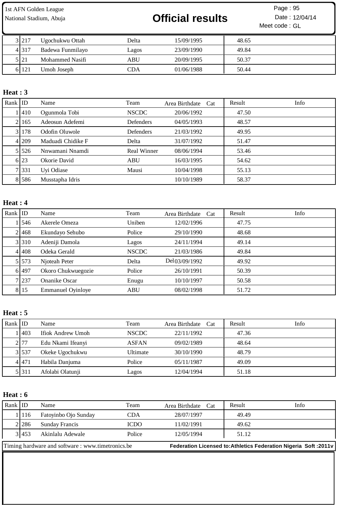# National Stadium, Abuja **12/04/14 Official results** Date : 12/04/14

Meet code : GL Page: 95

| 3 2 1 7 | Ugochukwu Ottah  | Delta | 15/09/1995 | 48.65 |
|---------|------------------|-------|------------|-------|
| 4 3 1 7 | Badewa Funmilayo | Lagos | 23/09/1990 | 49.84 |
| 5121    | Mohammed Nasifi  | ABU   | 20/09/1995 | 50.37 |
| 6 121   | Umoh Joseph      | CDA   | 01/06/1988 | 50.44 |

### **Heat : 3**

| Rank ID |                 | Name              | Team               | Area Birthdate Cat | Result | Info |
|---------|-----------------|-------------------|--------------------|--------------------|--------|------|
|         | <sup>1410</sup> | Ogunmola Tobi     | <b>NSCDC</b>       | 20/06/1992         | 47.50  |      |
|         | 21165           | Adeosun Adefemi   | Defenders          | 04/05/1993         | 48.57  |      |
|         | 31178           | Odofin Oluwole    | Defenders          | 21/03/1992         | 49.95  |      |
|         | 4 209           | Maduadi Chidike F | Delta              | 31/07/1992         | 51.47  |      |
|         | 5 5 2 6         | Nnwamani Nnamdi   | <b>Real Winner</b> | 08/06/1994         | 53.46  |      |
|         | 6 23            | Okorie David      | <b>ABU</b>         | 16/03/1995         | 54.62  |      |
|         | 71331           | Uyi Odiase        | Mausi              | 10/04/1998         | 55.13  |      |
|         | 8 586           | Musstapha Idris   |                    | 10/10/1989         | 58.37  |      |

### **Heat : 4**

| Rank $ $ ID |         | Name                     | Team         | Area Birthdate Cat | Result | Info |
|-------------|---------|--------------------------|--------------|--------------------|--------|------|
|             | 546     | Akerele Omeza            | Uniben       | 12/02/1996         | 47.75  |      |
|             | 21468   | Ekundayo Sehubo          | Police       | 29/10/1990         | 48.68  |      |
|             | 3 310   | Adeniji Damola           | Lagos        | 24/11/1994         | 49.14  |      |
|             | 41408   | Odeka Gerald             | <b>NSCDC</b> | 21/03/1986         | 49.84  |      |
|             | 5 5 7 3 | Njoteah Peter            | Delta        | Del 03/09/1992     | 49.92  |      |
|             | 6 497   | Okoro Chukwuegozie       | Police       | 26/10/1991         | 50.39  |      |
|             | 7 237   | <b>Onanike Oscar</b>     | Enugu        | 10/10/1997         | 50.58  |      |
|             | 8 15    | <b>Emmanuel Oyinloye</b> | <b>ABU</b>   | 08/02/1998         | 51.72  |      |

### **Heat : 5**

| Rank $ $ ID |                  | Name              | Team         | Area Birthdate Cat | Result | Info |
|-------------|------------------|-------------------|--------------|--------------------|--------|------|
|             | LA <sub>03</sub> | Ifiok Andrew Umoh | <b>NSCDC</b> | 22/11/1992         | 47.36  |      |
|             | 2177             | Edu Nkami Ifeanyi | <b>ASFAN</b> | 09/02/1989         | 48.64  |      |
|             | 3 537            | Okeke Ugochukwu   | Ultimate     | 30/10/1990         | 48.79  |      |
|             | 4 4 4 7 1        | Habila Danjuma    | Police       | 05/11/1987         | 49.09  |      |
|             | 5 3 1 1          | Afolabi Olatunji  | Lagos        | 12/04/1994         | 51.18  |      |

### **Heat : 6**

| Rank $ ID$                                        |       | Name                 | Team   | Area Birthdate Cat | Result | Info                                                              |
|---------------------------------------------------|-------|----------------------|--------|--------------------|--------|-------------------------------------------------------------------|
|                                                   | 1116  | Fatoyinbo Ojo Sunday | CDA    | 28/07/1997         | 49.49  |                                                                   |
|                                                   | 21286 | Sunday Francis       | ICDO   | 11/02/1991         | 49.62  |                                                                   |
|                                                   | 31453 | Akinlalu Adewale     | Police | 12/05/1994         | 51.12  |                                                                   |
| Timing hardware and software : www.timetronics.be |       |                      |        |                    |        | Federation Licensed to: Athletics Federation Nigeria Soft : 2011v |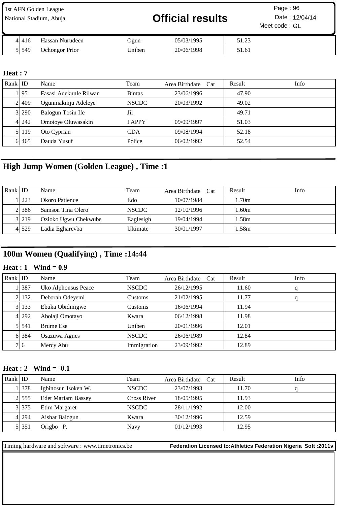| 1st AFN Golden League<br>National Stadium, Abuja |                       |        | <b>Official results</b> |       | Page: $96$<br>Date: 12/04/14<br>Meet code: GL |
|--------------------------------------------------|-----------------------|--------|-------------------------|-------|-----------------------------------------------|
| 41416                                            | Hassan Nurudeen       | Ogun   | 05/03/1995              | 51.23 |                                               |
| 51549                                            | <b>Ochongor</b> Prior | Uniben | 20/06/1998              | 51.61 |                                               |

### **Heat : 7**

| Rank ID |       | Name                   | Team          | Area Birthdate Cat | Result | Info |
|---------|-------|------------------------|---------------|--------------------|--------|------|
|         | 1195  | Fasasi Adekunle Rilwan | <b>Bintas</b> | 23/06/1996         | 47.90  |      |
|         | 2 409 | Ogunmakinju Adeleye    | <b>NSCDC</b>  | 20/03/1992         | 49.02  |      |
|         | 3 290 | Balogun Tosin Ife      | Jil           |                    | 49.71  |      |
|         | 4 242 | Omotoye Oluwasakin     | <b>FAPPY</b>  | 09/09/1997         | 51.03  |      |
|         | 5 119 | Oto Cyprian            | <b>CDA</b>    | 09/08/1994         | 52.18  |      |
|         | 61465 | Dauda Yusuf            | Police        | 06/02/1992         | 52.54  |      |

### **High Jump Women (Golden League) , Time :1**

| Rank ID |        | Name                 | Team         | Area Birthdate Cat | Result | Info |
|---------|--------|----------------------|--------------|--------------------|--------|------|
|         | 1223   | Okoro Patience       | Edo          | 10/07/1984         | l.70m  |      |
|         | 2 38 6 | Samson Tina Olero    | <b>NSCDC</b> | 12/10/1996         | .60m   |      |
|         | 3 219  | Ozioko Ugwu Chekwube | Eaglesigh    | 19/04/1994         | l.58m  |      |
|         | 41529  | Ladia Egharevba      | Ultimate     | 30/01/1997         | l.58m  |      |

# **100m Women (Qualifying) , Time :14:44**

#### **Heat : 1 Wind = 0.9**

| Rank ID |         | Name                | Team         | Area Birthdate Cat | Result | Info |
|---------|---------|---------------------|--------------|--------------------|--------|------|
|         | 1387    | Uko Alphonsus Peace | <b>NSCDC</b> | 26/12/1995         | 11.60  | q    |
|         | 2 132   | Deborah Odeyemi     | Customs      | 21/02/1995         | 11.77  | q    |
|         | 3 133   | Ebuka Obidinigwe    | Customs      | 16/06/1994         | 11.94  |      |
|         | 4 292   | Abolaji Omotayo     | Kwara        | 06/12/1998         | 11.98  |      |
|         | 5 5 4 1 | <b>Brume Ese</b>    | Uniben       | 20/01/1996         | 12.01  |      |
|         | 6 384   | Osazuwa Agnes       | <b>NSCDC</b> | 26/06/1989         | 12.84  |      |
|         | 7 6     | Mercy Abu           | Immigration  | 23/09/1992         | 12.89  |      |

### **Heat : 2 Wind = -0.1**

| Rank $ $ ID |         | Name                      | Team         | Area Birthdate Cat | Result | Info |
|-------------|---------|---------------------------|--------------|--------------------|--------|------|
|             | 1 378   | Igbinosun Isoken W.       | <b>NSCDC</b> | 23/07/1993         | 11.70  |      |
|             | 2.555   | <b>Edet Mariam Bassey</b> | Cross River  | 18/05/1995         | 11.93  |      |
|             | 3 375   | Etim Margaret             | <b>NSCDC</b> | 28/11/1992         | 12.00  |      |
|             | 4 294   | Aishat Balogun            | Kwara        | 30/12/1996         | 12.59  |      |
|             | 5 3 5 1 | Origbo P.                 | Navy         | 01/12/1993         | 12.95  |      |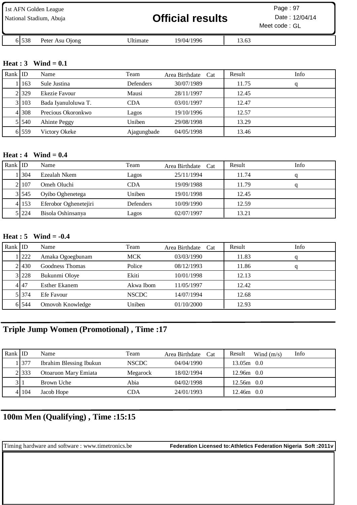| 1st AFN Golden League<br>National Stadium, Abuja |                 |          | <b>Official results</b> |       | Page: $97$<br>Date: 12/04/14<br>Meet code: GL |
|--------------------------------------------------|-----------------|----------|-------------------------|-------|-----------------------------------------------|
| 6 5 3 8                                          | Peter Asu Ojong | Ultimate | 19/04/1996              | 13.63 |                                               |

#### **Heat : 3 Wind = 0.1**

| Rank ID |       | Name                | Team        | Area Birthdate Cat | Result | Info |
|---------|-------|---------------------|-------------|--------------------|--------|------|
|         | 163   | Sule Justina        | Defenders   | 30/07/1989         | 11.75  |      |
|         | 2.329 | Ekezie Favour       | Mausi       | 28/11/1997         | 12.45  |      |
|         | 31103 | Bada Iyanuloluwa T. | <b>CDA</b>  | 03/01/1997         | 12.47  |      |
|         | 41308 | Precious Okoronkwo  | Lagos       | 19/10/1996         | 12.57  |      |
|         | 51540 | Ahinte Peggy        | Uniben      | 29/08/1998         | 13.29  |      |
|         | 6 559 | Victory Okeke       | Ajagungbade | 04/05/1998         | 13.46  |      |

#### **Heat : 4 Wind = 0.4**

| Rank $ $ ID |         | Name                  | Team             | Area Birthdate Cat | Result | Info |
|-------------|---------|-----------------------|------------------|--------------------|--------|------|
|             | .1304   | Ezealah Nkem          | Lagos            | 25/11/1994         | 11.74  |      |
|             | 2   107 | Omeh Oluchi           | CDA              | 19/09/1988         | 11.79  |      |
|             | 3 545   | Oyibo Oghenetega      | Uniben           | 19/01/1998         | 12.45  |      |
|             | 4 153   | Eferobor Oghenetejiri | <b>Defenders</b> | 10/09/1990         | 12.59  |      |
|             | 5 224   | Bisola Oshinsanya     | Lagos            | 02/07/1997         | 13.21  |      |

#### **Heat : 5 Wind = -0.4**

| Rank $ $ ID |           | Name                 | Team         | Area Birthdate Cat | Result | Info |
|-------------|-----------|----------------------|--------------|--------------------|--------|------|
|             | 1222      | Amaka Ogoegbunam     | <b>MCK</b>   | 03/03/1990         | 11.83  | q    |
|             | 21430     | Goodness Thomas      | Police       | 08/12/1993         | 11.86  | q    |
|             | 3 228     | Bukunmi Oloye        | Ekiti        | 10/01/1998         | 12.13  |      |
|             | 4 47      | <b>Esther Ekanem</b> | Akwa Ibom    | 11/05/1997         | 12.42  |      |
|             | 5 3 3 7 4 | Efe Favour           | <b>NSCDC</b> | 14/07/1994         | 12.68  |      |
|             | 6 544     | Omovoh Knowledge     | Uniben       | 01/10/2000         | 12.93  |      |

## **Triple Jump Women (Promotional) , Time :17**

| Rank $ $ ID |        | Name                    | Team         | Area Birthdate Cat | Info<br>Result<br>Wind $(m/s)$ |
|-------------|--------|-------------------------|--------------|--------------------|--------------------------------|
|             | 377    | Ibrahim Blessing Ibukun | <b>NSCDC</b> | 04/04/1990         | $13.05m$ 0.0                   |
|             | 2.333  | Otoaruon Mary Emiata    | Megarock     | 18/02/1994         | $12.96m$ 0.0                   |
| 311         |        | Brown Uche              | Abia         | 04/02/1998         | $12.56m$ 0.0                   |
|             | 41 104 | Jacob Hope              | CDA          | 24/01/1993         | $12.46m$ 0.0                   |

### **100m Men (Qualifying) , Time :15:15**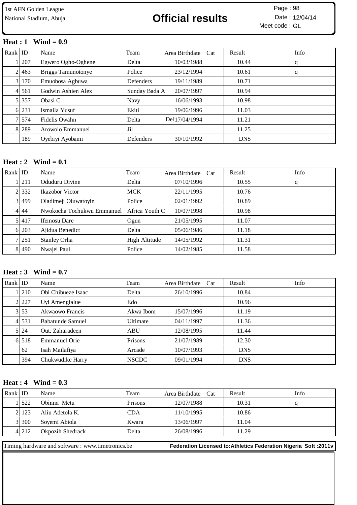# National Stadium, Abuja **12/04/14 Official results** Date : 12/04/14

Meet code : GL Page: 98

#### **Heat : 1 Wind = 0.9**

| Rank $ $ ID |       | Name               | Team          | Area Birthdate Cat | Result     | Info |
|-------------|-------|--------------------|---------------|--------------------|------------|------|
|             | 1 207 | Egwero Ogho-Oghene | Delta         | 10/03/1988         | 10.44      | q    |
|             | 2 463 | Briggs Tamunotonye | Police        | 23/12/1994         | 10.61      | q    |
|             | 3 170 | Emuobosa Agbuwa    | Defenders     | 19/11/1989         | 10.71      |      |
|             | 4 561 | Godwin Ashien Alex | Sunday Bada A | 20/07/1997         | 10.94      |      |
|             | 5 357 | Obasi C            | Navy          | 16/06/1993         | 10.98      |      |
|             | 6 231 | Ismaila Yusuf      | Ekiti         | 19/06/1996         | 11.03      |      |
|             | 71574 | Fidelis Owahn      | Delta         | Del 17/04/1994     | 11.21      |      |
|             | 8 289 | Arowolo Emmanuel   | Jil           |                    | 11.25      |      |
|             | 189   | Oyebiyi Ayobami    | Defenders     | 30/10/1992         | <b>DNS</b> |      |

#### **Heat : 2 Wind = 0.1**

| Rank $ $ ID |           | Name                                      | Team          | Area Birthdate Cat | Result | Info |
|-------------|-----------|-------------------------------------------|---------------|--------------------|--------|------|
|             | 1211      | Oduduru Divine                            | Delta         | 07/10/1996         | 10.55  | q    |
|             | 2332      | <b>Ikazobor</b> Victor                    | <b>MCK</b>    | 22/11/1995         | 10.76  |      |
|             | 3 499     | Oladimeji Oluwatoyin                      | Police        | 02/01/1992         | 10.89  |      |
|             | 4 44      | Nwokocha Tochukwu Emmanuel Africa Youth C |               | 10/07/1998         | 10.98  |      |
|             | 5.417     | <b>Ifemosu</b> Dare                       | Ogun          | 21/05/1995         | 11.07  |      |
|             | 6 203     | Ajidua Benedict                           | Delta         | 05/06/1986         | 11.18  |      |
|             | 7 251     | <b>Stanley Orha</b>                       | High Altitude | 14/05/1992         | 11.31  |      |
|             | 8 4 4 9 0 | Nwajei Paul                               | Police        | 14/02/1985         | 11.58  |      |

#### **Heat : 3 Wind = 0.7**

| Rank $ $ ID |       | Name                 | Team         | Area Birthdate<br>Cat | Info<br>Result |  |
|-------------|-------|----------------------|--------------|-----------------------|----------------|--|
|             | 1210  | Obi Chibueze Isaac   | Delta        | 26/10/1996            | 10.84          |  |
|             | 2 227 | Uyi Amengialue       | Edo          |                       | 10.96          |  |
|             | 3 53  | Akwaowo Francis      | Akwa Ibom    | 15/07/1996            | 11.19          |  |
|             | 4 531 | Babatunde Samuel     | Ultimate     | 04/11/1997            | 11.36          |  |
|             | 5 24  | Out. Zaharadeen      | <b>ABU</b>   | 12/08/1995            | 11.44          |  |
|             | 6 518 | <b>Emmanuel Orie</b> | Prisons      | 21/07/1989            | 12.30          |  |
|             | 62    | Isah Mailafiya       | Arcade       | 10/07/1993            | <b>DNS</b>     |  |
|             | 394   | Chukwudike Harry     | <b>NSCDC</b> | 09/01/1994            | <b>DNS</b>     |  |

#### **Heat : 4 Wind = 0.3**

| Rank ID |         | Name                                              | Team    | Area Birthdate Cat | Result | Info                                                              |
|---------|---------|---------------------------------------------------|---------|--------------------|--------|-------------------------------------------------------------------|
|         | 1522    | Obinna Metu                                       | Prisons | 12/07/1988         | 10.31  |                                                                   |
|         | 2.123   | Aliu Adetola K.                                   | CDA     | 11/10/1995         | 10.86  |                                                                   |
|         | 3 300   | Soyemi Abiola                                     | Kwara   | 13/06/1997         | 11.04  |                                                                   |
|         | 4 2 1 2 | Okpozih Shedrack                                  | Delta   | 26/08/1996         | 11.29  |                                                                   |
|         |         | Timing hardware and software : www.timetronics.be |         |                    |        | Federation Licensed to: Athletics Federation Nigeria Soft : 2011v |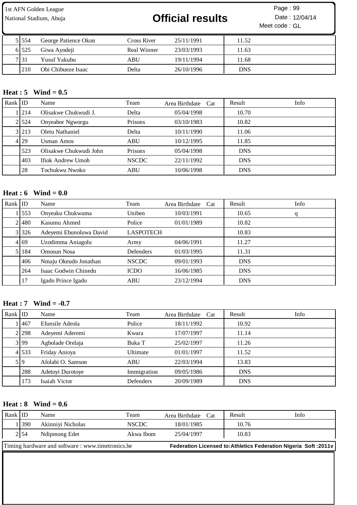# National Stadium, Abuja **12/04/14 Official results** Date : 12/04/14

Meet code : GL Page: 99

| 5   554 | George Patience Okon | Cross River | 25/11/1991 | 11.52      |
|---------|----------------------|-------------|------------|------------|
| 6 525   | Giwa Ayodeji         | Real Winner | 23/03/1993 | 11.63      |
| 7 31    | Yusuf Yakubu         | ABU         | 19/11/1994 | 11.68      |
| 210     | Obi Chibueze Isaac   | Delta       | 26/10/1996 | <b>DNS</b> |

### **Heat : 5 Wind = 0.5**

| Rank ID |                   | Name                     | Team         | Area Birthdate Cat | Result     | Info |
|---------|-------------------|--------------------------|--------------|--------------------|------------|------|
|         | .I <sub>214</sub> | Olisakwe Chukwudi J.     | Delta        | 05/04/1998         | 10.70      |      |
|         | 2 524             | Onyeabor Ngworgu         | Prisons      | 03/10/1983         | 10.82      |      |
|         | 3 213             | Oletu Nathaniel          | Delta        | 10/11/1990         | 11.06      |      |
|         | 4 29              | Usman Amos               | <b>ABU</b>   | 10/12/1995         | 11.85      |      |
|         | 523               | Olisakwe Chukwudi John   | Prisons      | 05/04/1998         | <b>DNS</b> |      |
|         | 403               | <b>Ifiok Andrew Umoh</b> | <b>NSCDC</b> | 22/11/1992         | <b>DNS</b> |      |
|         | 28                | Tochukwu Nwoko           | <b>ABU</b>   | 10/06/1998         | <b>DNS</b> |      |

#### **Heat : 6 Wind = 0.0**

| Rank $ $ ID |       | Name                    | Team             | Area Birthdate<br>Cat | Result     | Info |
|-------------|-------|-------------------------|------------------|-----------------------|------------|------|
|             | 553   | Onyeaku Chukwuma        | Uniben           | 10/03/1991            | 10.65      | q    |
|             | 21480 | Kasumu Ahmed            | Police           | 01/01/1989            | 10.82      |      |
|             | 3 326 | Adeyemi Ebunoluwa David | <b>LASPOTECH</b> |                       | 10.83      |      |
|             | 4 69  | Uzodimma Aniagolu       | Army             | 04/06/1991            | 11.27      |      |
|             | 5 184 | Omosun Nosa             | Defenders        | 01/03/1995            | 11.31      |      |
|             | 406   | Nmaju Okeudo Jonathan   | <b>NSCDC</b>     | 09/01/1993            | <b>DNS</b> |      |
|             | 264   | Isaac Godwin Chinedu    | <b>ICDO</b>      | 16/06/1985            | <b>DNS</b> |      |
|             | 17    | Igado Prince Igado      | <b>ABU</b>       | 23/12/1994            | <b>DNS</b> |      |

#### **Heat : 7 Wind = -0.7**

| Rank $ $ ID |       | Name              | Team        | Area Birthdate Cat | Result     | Info |
|-------------|-------|-------------------|-------------|--------------------|------------|------|
|             | 1467  | Efunsile Adeola   | Police      | 18/11/1992         | 10.92      |      |
|             | 2 298 | Adeyemi Aderemi   | Kwara       | 17/07/1997         | 11.14      |      |
|             | 3 99  | Agbolade Orelaja  | Buka T      | 25/02/1997         | 11.26      |      |
|             | 4 533 | Friday Anioya     | Ultimate    | 01/01/1997         | 11.52      |      |
|             | 5   9 | Afolabi O. Samson | ABU         | 22/03/1994         | 13.83      |      |
|             | 288   | Adetoyi Durotoye  | Immigration | 09/05/1986         | <b>DNS</b> |      |
|             | 173   | Isaiah Victor     | Defenders   | 20/09/1989         | <b>DNS</b> |      |

### **Heat : 8 Wind = 0.6**

| Rank ID                                          |       | Name              | Team         | Area Birthdate Cat | Result                                                                  | Info |
|--------------------------------------------------|-------|-------------------|--------------|--------------------|-------------------------------------------------------------------------|------|
|                                                  | .1390 | Akinniyi Nicholas | <b>NSCDC</b> | 18/01/1985         | 10.76                                                                   |      |
|                                                  | 2 54  | Ndipmong Edet     | Akwa Ibom    | 25/04/1997         | 10.83                                                                   |      |
| Timing hardware and software: www.timetronics.be |       |                   |              |                    | <b>Federation Licensed to: Athletics Federation Nigeria Soft: 2011v</b> |      |
|                                                  |       |                   |              |                    |                                                                         |      |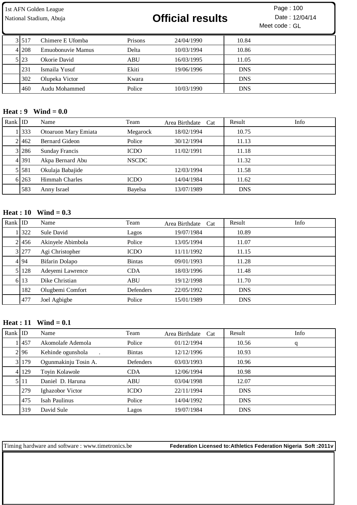National Stadium, Abuja **12/04/14 Official results** Date : 12/04/14

Meet code : GL Page: 100

| 31517 | Chimere E Ufomba  | Prisons | 24/04/1990 | 10.84      |
|-------|-------------------|---------|------------|------------|
| 41208 | Emuobonuvie Mamus | Delta   | 10/03/1994 | 10.86      |
| 5 23  | Okorie David      | ABU     | 16/03/1995 | 11.05      |
| 231   | Ismaila Yusuf     | Ekiti   | 19/06/1996 | <b>DNS</b> |
| 302   | Olupeka Victor    | Kwara   |            | <b>DNS</b> |
| 460   | Audu Mohammed     | Police  | 10/03/1990 | <b>DNS</b> |

#### **Heat : 9 Wind = 0.0**

| Rank $ $ ID |           | Name                  | Team         | Area Birthdate Cat | Result     | Info |
|-------------|-----------|-----------------------|--------------|--------------------|------------|------|
|             | 1333      | Otoaruon Mary Emiata  | Megarock     | 18/02/1994         | 10.75      |      |
|             | 21462     | <b>Bernard Gideon</b> | Police       | 30/12/1994         | 11.13      |      |
|             | 3 286     | <b>Sunday Francis</b> | <b>ICDO</b>  | 11/02/1991         | 11.18      |      |
|             | 4 3 9 1   | Akpa Bernard Abu      | <b>NSCDC</b> |                    | 11.32      |      |
|             | 5 5 5 8 1 | Okulaja Babajide      |              | 12/03/1994         | 11.58      |      |
|             | 6 263     | <b>Himmah Charles</b> | <b>ICDO</b>  | 14/04/1984         | 11.62      |      |
|             | 583       | Anny Israel           | Bayelsa      | 13/07/1989         | <b>DNS</b> |      |

#### **Heat : 10 Wind = 0.3**

| Rank $ $ ID |       | Name              | Team          | Area Birthdate Cat | Info<br>Result |
|-------------|-------|-------------------|---------------|--------------------|----------------|
|             | 1322  | Sule David        | Lagos         | 19/07/1984         | 10.89          |
|             | 2456  | Akinyele Abimbola | Police        | 13/05/1994         | 11.07          |
|             | 3 277 | Agi Christopher   | <b>ICDO</b>   | 11/11/1992         | 11.15          |
|             | 4 94  | Bifarin Dolapo    | <b>Bintas</b> | 09/01/1993         | 11.28          |
|             | 5 128 | Adeyemi Lawrence  | <b>CDA</b>    | 18/03/1996         | 11.48          |
|             | 6 13  | Dike Christian    | <b>ABU</b>    | 19/12/1998         | 11.70          |
|             | 182   | Olugbemi Comfort  | Defenders     | 22/05/1992         | <b>DNS</b>     |
|             | 477   | Joel Agbigbe      | Police        | 15/01/1989         | <b>DNS</b>     |

#### **Heat : 11 Wind = 0.1**

| Rank $ $ ID |       | Name                 | Team          | Area Birthdate Cat | Result     | Info |
|-------------|-------|----------------------|---------------|--------------------|------------|------|
|             | 1457  | Akomolafe Ademola    | Police        | 01/12/1994         | 10.56      | q    |
|             | 2.96  | Kehinde ogunshola    | <b>Bintas</b> | 12/12/1996         | 10.93      |      |
|             | 3 179 | Ogunmakinju Tosin A. | Defenders     | 03/03/1993         | 10.96      |      |
|             | 4 129 | Toyin Kolawole       | <b>CDA</b>    | 12/06/1994         | 10.98      |      |
|             | 5 11  | Daniel D. Haruna     | <b>ABU</b>    | 03/04/1998         | 12.07      |      |
|             | 279   | Ighazobor Victor     | <b>ICDO</b>   | 22/11/1994         | <b>DNS</b> |      |
|             | 475   | Isah Paulinus        | Police        | 14/04/1992         | <b>DNS</b> |      |
|             | 319   | David Sule           | Lagos         | 19/07/1984         | <b>DNS</b> |      |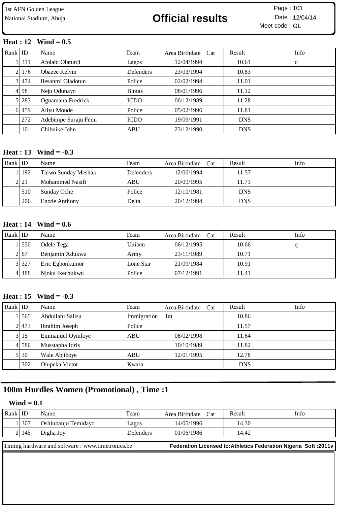# National Stadium, Abuja **12/04/14 Official results** Date : 12/04/14

Meet code : GL Page :

#### **Heat : 12 Wind = 0.5**

| Rank $ $ ID |       | Name                 | Team          | Area Birthdate Cat | Result     | Info |
|-------------|-------|----------------------|---------------|--------------------|------------|------|
|             | 11311 | Afolabi Olatunji     | Lagos         | 12/04/1994         | 10.61      | q    |
|             | 21176 | Obazee Kelvin        | Defenders     | 23/03/1994         | 10.83      |      |
|             | 31474 | Ilesanmi Oladotun    | Police        | 02/02/1994         | 11.01      |      |
|             | 4 98  | Nejo Odunayo         | <b>Bintas</b> | 08/01/1996         | 11.12      |      |
|             | 5 283 | Oguamana Fredrick    | <b>ICDO</b>   | 06/12/1989         | 11.28      |      |
|             | 6.459 | Aliyu Moude          | Police        | 05/02/1996         | 11.81      |      |
|             | 272   | Adebimpe Suraju Femi | <b>ICDO</b>   | 19/09/1991         | <b>DNS</b> |      |
|             | 10    | Chibuike John        | <b>ABU</b>    | 23/12/1990         | <b>DNS</b> |      |

#### **Heat : 13 Wind = -0.3**

| Rank ID |         | Name                | Team             | Area Birthdate Cat | Result     | Info |
|---------|---------|---------------------|------------------|--------------------|------------|------|
|         | 1   192 | Taiwo Sunday Meshak | <b>Defenders</b> | 12/06/1994         | 11.57      |      |
|         | 2.21    | Mohammed Nasifi     | ABU              | 20/09/1995         | 11.73      |      |
|         | 510     | Sunday Oche         | Police           | 12/10/1981         | <b>DNS</b> |      |
|         | 206     | Egode Anthony       | Delta            | 20/12/1994         | <b>DNS</b> |      |

#### **Heat : 14 Wind = 0.6**

| Rank   ID |       | Name            | Team      | Area Birthdate Cat | Result | Info |
|-----------|-------|-----------------|-----------|--------------------|--------|------|
|           | 1550  | Odele Tega      | Uniben    | 06/12/1995         | 10.66  |      |
|           | 2167  | Benjamin Adukwu | Army      | 23/11/1989         | 10.71  |      |
|           | 3 327 | Eric Egbonkumor | Lone Star | 21/09/1984         | 10.91  |      |
|           | 41488 | Njoku Ikechukwu | Police    | 07/12/1991         | 11.41  |      |

#### **Heat : 15 Wind = -0.3**

| Rank $ $ ID |       | Name                     | Team        | Area Birthdate Cat | Result     | Info |
|-------------|-------|--------------------------|-------------|--------------------|------------|------|
|             | 1565  | Abdullahi Salisu         | Immigration | Im                 | 10.86      |      |
|             | 21473 | Ibrahim Joseph           | Police      |                    | 11.57      |      |
|             | 3 15  | <b>Emmanuel Oyinloye</b> | ABU         | 08/02/1998         | 11.64      |      |
|             | 4 586 | Musstapha Idris          |             | 10/10/1989         | 11.82      |      |
|             | 5 30  | Wale Abjiboye            | <b>ABU</b>  | 12/01/1995         | 12.78      |      |
|             | 302   | Olupeka Victor           | Kwara       |                    | <b>DNS</b> |      |

### **100m Hurdles Women (Promotional) , Time :1**

#### **Wind = 0.1**

| Rank ID |      | Name                                             | Team             | Area Birthdate Cat | Result | Info                                                                    |
|---------|------|--------------------------------------------------|------------------|--------------------|--------|-------------------------------------------------------------------------|
|         | 1307 | Oshinbanjo Temidayo                              | Lagos            | 14/05/1996         | 14.30  |                                                                         |
|         | 2145 | Digha Joy                                        | <b>Defenders</b> | 01/06/1986         | 14.42  |                                                                         |
|         |      | Timing hardware and software: www.timetronics.be |                  |                    |        | <b>Federation Licensed to: Athletics Federation Nigeria Soft: 2011v</b> |
|         |      |                                                  |                  |                    |        |                                                                         |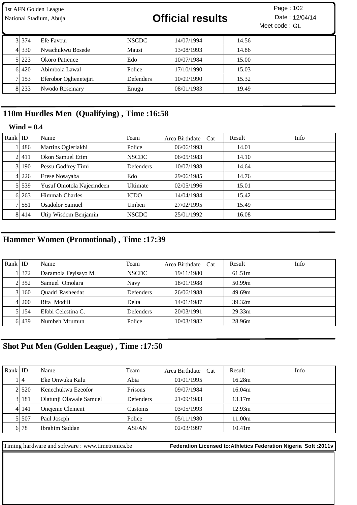|         | 1st AFN Golden League<br>National Stadium, Abuja |                  | <b>Official results</b> |       | Page: 102<br>Date: 12/04/14<br>Meet code: GL |
|---------|--------------------------------------------------|------------------|-------------------------|-------|----------------------------------------------|
| 31374   | Efe Favour                                       | <b>NSCDC</b>     | 14/07/1994              | 14.56 |                                              |
| 4 3 3 0 | Nwachukwu Bosede                                 | Mausi            | 13/08/1993              | 14.86 |                                              |
| 5 223   | Okoro Patience                                   | Edo              | 10/07/1984              | 15.00 |                                              |
| 6 4 2 0 | Abimbola Lawal                                   | Police           | 17/10/1990              | 15.03 |                                              |
| 153     | Eferobor Oghenetejiri                            | <b>Defenders</b> | 10/09/1990              | 15.32 |                                              |
| 8 233   | Nwodo Rosemary                                   | Enugu            | 08/01/1983              | 19.49 |                                              |

### **110m Hurdles Men (Qualifying) , Time :16:58**

#### **Wind = 0.4**

| Rank   ID |           | Name                     | Team         | Area Birthdate Cat | Result | Info |
|-----------|-----------|--------------------------|--------------|--------------------|--------|------|
|           | 1486      | Martins Ogieriakhi       | Police       | 06/06/1993         | 14.01  |      |
|           | 21411     | Okon Samuel Etim         | <b>NSCDC</b> | 06/05/1983         | 14.10  |      |
|           | 31190     | Pessu Godfrey Timi       | Defenders    | 10/07/1988         | 14.64  |      |
|           | 4 226     | Erese Nosayaba           | Edo          | 29/06/1985         | 14.76  |      |
|           | 5 5 5 3 9 | Yusuf Omotola Najeemdeen | Ultimate     | 02/05/1996         | 15.01  |      |
|           | 6 263     | Himmah Charles           | <b>ICDO</b>  | 14/04/1984         | 15.42  |      |
|           | 7.551     | Osadolor Samuel          | Uniben       | 27/02/1995         | 15.49  |      |
|           | 8 4 1 4   | Utip Wisdom Benjamin     | <b>NSCDC</b> | 25/01/1992         | 16.08  |      |

# **Hammer Women (Promotional) , Time :17:39**

| Rank ID |       | Name                 | Team         | Area Birthdate Cat | Result             | Info |
|---------|-------|----------------------|--------------|--------------------|--------------------|------|
|         | 1372  | Daramola Feyisayo M. | <b>NSCDC</b> | 19/11/1980         | 61.51m             |      |
|         | 2.352 | Samuel Omolara       | Navy         | 18/01/1988         | 50.99m             |      |
|         | 31160 | Quadri Rasheedat     | Defenders    | 26/06/1988         | 49.69m             |      |
|         | 41200 | Rita Modili          | Delta        | 14/01/1987         | 39.32m             |      |
|         | 51154 | Efobi Celestina C.   | Defenders    | 20/03/1991         | 29.33 <sub>m</sub> |      |
|         | 6 439 | Numbeh Mrumun        | Police       | 10/03/1982         | 28.96m             |      |

## **Shot Put Men (Golden League) , Time :17:50**

| Rank ID |           | Name                    | Team             | Area Birthdate Cat | Result             | Info |
|---------|-----------|-------------------------|------------------|--------------------|--------------------|------|
|         | . 14      | Eke Onwuka Kalu         | Abia             | 01/01/1995         | 16.28m             |      |
|         | 21520     | Kenechukwu Ezeofor      | <b>Prisons</b>   | 09/07/1984         | 16.04m             |      |
|         | 3 181     | Olatunji Olawale Samuel | <b>Defenders</b> | 21/09/1983         | 13.17m             |      |
|         | 4 14 14 1 | Onejeme Clement         | Customs          | 03/05/1993         | 12.93m             |      |
|         | 51507     | Paul Joseph             | Police           | 05/11/1980         | 11.00m             |      |
|         | 6 78      | Ibrahim Saddan          | <b>ASFAN</b>     | 02/03/1997         | 10.41 <sub>m</sub> |      |

Timing hardware and software : www.timetronics.be **Federation Licensed to:Athletics Federation Nigeria Soft :2011v**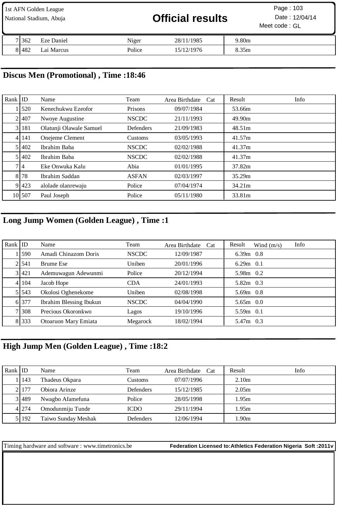| 1st AFN Golden League<br>National Stadium, Abuja |         |            | <b>Official results</b> |            | Page: 103<br>Date: 12/04/14<br>Meet code: GL |  |
|--------------------------------------------------|---------|------------|-------------------------|------------|----------------------------------------------|--|
|                                                  | 7 3 6 2 | Eze Daniel | Niger                   | 28/11/1985 | 9.80m                                        |  |
|                                                  | 81482   | Lai Marcus | Police                  | 15/12/1976 | 8.35m                                        |  |

### **Discus Men (Promotional) , Time :18:46**

| Rank $ $ ID |        | Name                    | Team             | Area Birthdate<br>Cat | Info<br>Result     |
|-------------|--------|-------------------------|------------------|-----------------------|--------------------|
|             | 520    | Kenechukwu Ezeofor      | Prisons          | 09/07/1984            | 53.66m             |
|             | 2.407  | Nwoye Augustine         | <b>NSCDC</b>     | 21/11/1993            | 49.90m             |
|             | 3 181  | Olatunji Olawale Samuel | <b>Defenders</b> | 21/09/1983            | 48.51 <sub>m</sub> |
|             | 4 141  | Onejeme Clement         | Customs          | 03/05/1993            | 41.57m             |
|             | 5 402  | Ibrahim Baba            | <b>NSCDC</b>     | 02/02/1988            | 41.37m             |
|             | 5 402  | Ibrahim Baba            | <b>NSCDC</b>     | 02/02/1988            | 41.37m             |
|             | 7 I 4  | Eke Onwuka Kalu         | Abia             | 01/01/1995            | 37.82m             |
|             | 8 78   | Ibrahim Saddan          | <b>ASFAN</b>     | 02/03/1997            | 35.29m             |
|             | 9 4 23 | alolade olanrewaju      | Police           | 07/04/1974            | 34.21m             |
|             | 10 507 | Paul Joseph             | Police           | 05/11/1980            | 33.81m             |

# **Long Jump Women (Golden League) , Time :1**

| Rank $ $ ID |           | Name                    | Team         | Area Birthdate Cat | Info<br>Result<br>Wind $(m/s)$ |
|-------------|-----------|-------------------------|--------------|--------------------|--------------------------------|
|             | 11590     | Amadi Chinazom Doris    | <b>NSCDC</b> | 12/09/1987         | $6.39m$ 0.8                    |
|             | 21541     | <b>Brume Ese</b>        | Uniben       | 20/01/1996         | $6.29m$ 0.1                    |
|             | 3 421     | Ademuwagun Adewunmi     | Police       | 20/12/1994         | 5.98m 0.2                      |
|             | 4 1 1 0 4 | Jacob Hope              | <b>CDA</b>   | 24/01/1993         | $5.82m$ 0.3                    |
|             | 5 5 4 3   | Okolosi Oghenekome      | Uniben       | 02/08/1998         | $5.69m$ 0.8                    |
|             | 6 377     | Ibrahim Blessing Ibukun | <b>NSCDC</b> | 04/04/1990         | $5.65m$ 0.0                    |
|             | 71308     | Precious Okoronkwo      | Lagos        | 19/10/1996         | $5.59m$ 0.1                    |
|             | 8 3 3 3   | Otoaruon Mary Emiata    | Megarock     | 18/02/1994         | 5.47m 0.3                      |

# **High Jump Men (Golden League) , Time :18:2**

| Rank ID |         | Name                | Team             | Area Birthdate Cat | Result            | Info |
|---------|---------|---------------------|------------------|--------------------|-------------------|------|
|         | . 143   | Thadeus Okpara      | Customs          | 07/07/1996         | 2.10 <sub>m</sub> |      |
|         | 21177   | Obiora Arinze       | <b>Defenders</b> | 15/12/1985         | 2.05m             |      |
|         | 31489   | Nwagbo Afamefuna    | Police           | 28/05/1998         | 1.95m             |      |
|         | 4 274   | Omodunmiju Tunde    | <b>ICDO</b>      | 29/11/1994         | 1.95m             |      |
|         | 5   192 | Taiwo Sunday Meshak | <b>Defenders</b> | 12/06/1994         | 1.90m             |      |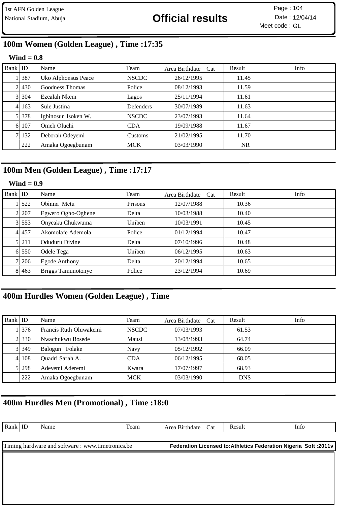# National Stadium, Abuja **12/04/14 Official results** Date : 12/04/14

Meet code : GL Page :

# **100m Women (Golden League) , Time :17:35**

#### **Wind = 0.8**

| Rank $ $ ID |           | Name                | Team         | Area Birthdate Cat | Result    | Info |
|-------------|-----------|---------------------|--------------|--------------------|-----------|------|
|             | 387       | Uko Alphonsus Peace | <b>NSCDC</b> | 26/12/1995         | 11.45     |      |
|             | 21430     | Goodness Thomas     | Police       | 08/12/1993         | 11.59     |      |
|             | 3 304     | Ezealah Nkem        | Lagos        | 25/11/1994         | 11.61     |      |
|             | 4 163     | Sule Justina        | Defenders    | 30/07/1989         | 11.63     |      |
|             | 5 3 3 7 8 | Igbinosun Isoken W. | <b>NSCDC</b> | 23/07/1993         | 11.64     |      |
|             | 6 107     | Omeh Oluchi         | <b>CDA</b>   | 19/09/1988         | 11.67     |      |
|             | 7 132     | Deborah Odeyemi     | Customs      | 21/02/1995         | 11.70     |      |
|             | 222       | Amaka Ogoegbunam    | <b>MCK</b>   | 03/03/1990         | <b>NR</b> |      |

### **100m Men (Golden League) , Time :17:17**

#### **Wind = 0.9**

| Rank $ $ ID |           | Name               | Team    | Area Birthdate<br>Cat | Result | Info |
|-------------|-----------|--------------------|---------|-----------------------|--------|------|
|             | 1522      | Obinna Metu        | Prisons | 12/07/1988            | 10.36  |      |
|             | 2 207     | Egwero Ogho-Oghene | Delta   | 10/03/1988            | 10.40  |      |
|             | 3 553     | Onyeaku Chukwuma   | Uniben  | 10/03/1991            | 10.45  |      |
|             | 4 457     | Akomolafe Ademola  | Police  | 01/12/1994            | 10.47  |      |
|             | 5 2 1 1   | Oduduru Divine     | Delta   | 07/10/1996            | 10.48  |      |
|             | 6.550     | Odele Tega         | Uniben  | 06/12/1995            | 10.63  |      |
|             | 7 206     | Egode Anthony      | Delta   | 20/12/1994            | 10.65  |      |
|             | 8 4 4 6 3 | Briggs Tamunotonye | Police  | 23/12/1994            | 10.69  |      |

### **400m Hurdles Women (Golden League) , Time**

| Rank ID |           | Name                   | Team         | Area Birthdate Cat | Result     | Info |
|---------|-----------|------------------------|--------------|--------------------|------------|------|
|         | 1 376     | Francis Ruth Oluwakemi | <b>NSCDC</b> | 07/03/1993         | 61.53      |      |
|         | 2.330     | Nwachukwu Bosede       | Mausi        | 13/08/1993         | 64.74      |      |
|         | 31349     | Balogun Folake         | Navy         | 05/12/1992         | 66.09      |      |
|         | 4 1 1 0 8 | Quadri Sarah A.        | CDA          | 06/12/1995         | 68.05      |      |
|         | 5 298     | Adeyemi Aderemi        | Kwara        | 17/07/1997         | 68.93      |      |
|         | 222       | Amaka Ogoegbunam       | <b>MCK</b>   | 03/03/1990         | <b>DNS</b> |      |

### **400m Hurdles Men (Promotional) , Time :18:0**

| $\vert$ Rank $\vert$ ID                           | Name | Team | Area Birthdate Cat | Result | Info                                                             |
|---------------------------------------------------|------|------|--------------------|--------|------------------------------------------------------------------|
|                                                   |      |      |                    |        | Federation Licensed to: Athletics Federation Nigeria Soft: 2011v |
| Timing hardware and software : www.timetronics.be |      |      |                    |        |                                                                  |
|                                                   |      |      |                    |        |                                                                  |
|                                                   |      |      |                    |        |                                                                  |
|                                                   |      |      |                    |        |                                                                  |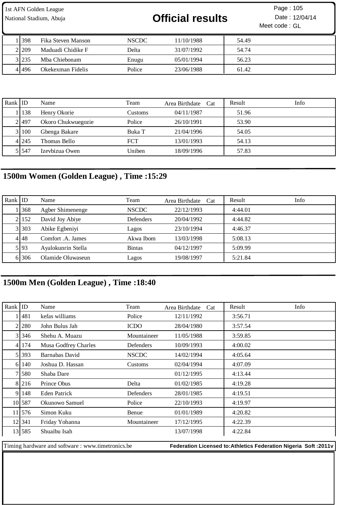| 1st AFN Golden League<br>National Stadium, Abuja |             |                    | <b>Official results</b> |            | Page: 105<br>Date: 12/04/14<br>Meet code: GL |  |
|--------------------------------------------------|-------------|--------------------|-------------------------|------------|----------------------------------------------|--|
|                                                  | <b>1398</b> | Fika Steven Manson | NSCDC                   | 11/10/1988 | 54.49                                        |  |
|                                                  | 21209       | Maduadi Chidike F  | Delta                   | 31/07/1992 | 54.74                                        |  |

 235 Mba Chiebonam Enugu 05/01/1994 56.23 496 Okekexman Fidelis Police 23/06/1988 61.42

| Rank $ $ ID |         | Name               | Team       | Area Birthdate Cat | Result | Info |
|-------------|---------|--------------------|------------|--------------------|--------|------|
|             | 138     | Henry Okorie       | Customs    | 04/11/1987         | 51.96  |      |
|             | 21497   | Okoro Chukwuegozie | Police     | 26/10/1991         | 53.90  |      |
|             | 3 100   | Gbenga Bakare      | Buka T     | 21/04/1996         | 54.05  |      |
|             | 4 2 4 5 | Thomas Bello       | <b>FCT</b> | 13/01/1993         | 54.13  |      |
|             | 5 5 4 7 | Izevbizua Owen     | Uniben     | 18/09/1996         | 57.83  |      |

## **1500m Women (Golden League) , Time :15:29**

| Rank ID |        | Name               | Team             | Area Birthdate Cat | Result  | Info |
|---------|--------|--------------------|------------------|--------------------|---------|------|
|         | 368    | Agber Shimenenge   | <b>NSCDC</b>     | 22/12/1993         | 4:44.01 |      |
|         | 2 152  | David Joy Abiye    | <b>Defenders</b> | 20/04/1992         | 4:44.82 |      |
|         | 3 303  | Abike Egbeniyi     | Lagos            | 23/10/1994         | 4:46.37 |      |
|         | 4 48   | Comfort .A. James  | Akwa Ibom        | 13/03/1998         | 5:08.13 |      |
|         | 5 93   | Ayalokunrin Stella | <b>Bintas</b>    | 04/12/1997         | 5:09.99 |      |
|         | 6 30 6 | Olamide Oluwaseun  | Lagos            | 19/08/1997         | 5:21.84 |      |

## **1500m Men (Golden League) , Time :18:40**

| Rank $ $ ID |        | Name                 | Team         | Area Birthdate<br>Cat | Result<br>Info |
|-------------|--------|----------------------|--------------|-----------------------|----------------|
|             | 11481  | kefas williams       | Police       | 12/11/1992            | 3:56.71        |
|             | 2 280  | John Bulus Jah       | <b>ICDO</b>  | 28/04/1980            | 3:57.54        |
|             | 3 346  | Shehu A. Muazu       | Mountaineer  | 11/05/1988            | 3:59.85        |
|             | 4 174  | Musa Godfrey Charles | Defenders    | 10/09/1993            | 4:00.02        |
|             | 5 393  | Barnabas David       | <b>NSCDC</b> | 14/02/1994            | 4:05.64        |
|             | 6 140  | Joshua D. Hassan     | Customs      | 02/04/1994            | 4:07.09        |
|             | 7 580  | Shaba Dare           |              | 01/12/1995            | 4:13.44        |
|             | 8 216  | Prince Obus          | Delta        | 01/02/1985            | 4:19.28        |
|             | 9 148  | Eden Patrick         | Defenders    | 28/01/1985            | 4:19.51        |
|             | 10 587 | Okunowo Samuel       | Police       | 22/10/1993            | 4:19.97        |
|             | 11 576 | Simon Kuku           | Benue        | 01/01/1989            | 4:20.82        |
|             | 121341 | Friday Yohanna       | Mountaineer  | 17/12/1995            | 4:22.39        |
|             | 13 585 | Shuaibu Isah         |              | 13/07/1998            | 4:22.84        |
|             |        |                      |              |                       |                |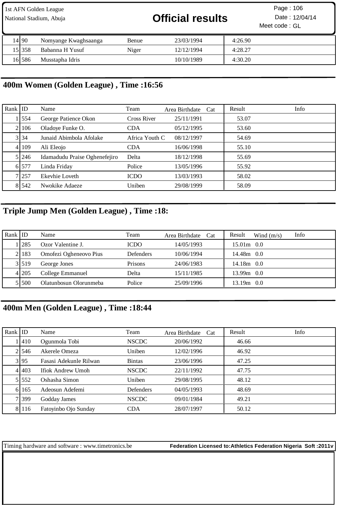| 1st AFN Golden League<br>National Stadium, Abuja |        |                      |       | <b>Official results</b> | Page: 106<br>Date: 12/04/14<br>Meet code: GL |  |
|--------------------------------------------------|--------|----------------------|-------|-------------------------|----------------------------------------------|--|
|                                                  | 14190  | Nomyange Kwaghsaanga | Benue | 23/03/1994              | 4:26.90                                      |  |
|                                                  | 151358 | Babanna H Yusuf      | Niger | 12/12/1994              | 4:28.27                                      |  |
|                                                  | 16 586 | Musstapha Idris      |       | 10/10/1989              | 4:30.20                                      |  |

# **400m Women (Golden League) , Time :16:56**

| Rank $ $ ID |         | Name                          | Team           | Area Birthdate Cat | Result | Info |
|-------------|---------|-------------------------------|----------------|--------------------|--------|------|
|             | 554     | George Patience Okon          | Cross River    | 25/11/1991         | 53.07  |      |
|             | 2106    | Oladoye Funke O.              | <b>CDA</b>     | 05/12/1995         | 53.60  |      |
|             | 3 34    | Junaid Abimbola Afolake       | Africa Youth C | 08/12/1997         | 54.69  |      |
|             | 4 109   | Ali Eleojo                    | <b>CDA</b>     | 16/06/1998         | 55.10  |      |
|             | 5 246   | Idamadudu Praise Oghenefejiro | Delta          | 18/12/1998         | 55.69  |      |
|             | 6 577   | Linda Friday                  | Police         | 13/05/1996         | 55.92  |      |
|             | 7 257   | Ekeyhie Loveth                | <b>ICDO</b>    | 13/03/1993         | 58.02  |      |
|             | 8 5 4 2 | Nwokike Adaeze                | Uniben         | 29/08/1999         | 58.09  |      |

# **Triple Jump Men (Golden League) , Time :18:**

| Rank $ $ ID |         | Name                   | Team             | Area Birthdate Cat | Result<br>Info<br>Wind $(m/s)$ |
|-------------|---------|------------------------|------------------|--------------------|--------------------------------|
|             | 1   285 | Ozor Valentine J.      | <b>ICDO</b>      | 14/05/1993         | $15.01m$ 0.0                   |
|             | 2.183   | Omofezi Ogheneovo Pius | <b>Defenders</b> | 10/06/1994         | 14.48m 0.0                     |
|             | 3 519   | George Jones           | Prisons          | 24/06/1983         | 14.18m 0.0                     |
|             | 4 205   | College Emmanuel       | Delta            | 15/11/1985         | $13.99m$ 0.0                   |
|             | 51500   | Olatunbosun Olorunmeba | Police           | 25/09/1996         | 13.19m 0.0                     |

## **400m Men (Golden League) , Time :18:44**

| Rank $ $ ID |           | Name                   | Team             | Area Birthdate Cat | Result | Info |
|-------------|-----------|------------------------|------------------|--------------------|--------|------|
|             | 1410      | Ogunmola Tobi          | <b>NSCDC</b>     | 20/06/1992         | 46.66  |      |
|             | 21546     | Akerele Omeza          | Uniben           | 12/02/1996         | 46.92  |      |
|             | 3 95      | Fasasi Adekunle Rilwan | <b>Bintas</b>    | 23/06/1996         | 47.25  |      |
|             | 4 4 4 4 3 | Ifiok Andrew Umoh      | <b>NSCDC</b>     | 22/11/1992         | 47.75  |      |
|             | 5 5 5 2   | Oshasha Simon          | Uniben           | 29/08/1995         | 48.12  |      |
|             | 6 165     | Adeosun Adefemi        | <b>Defenders</b> | 04/05/1993         | 48.69  |      |
|             | 7 399     | Godday James           | <b>NSCDC</b>     | 09/01/1984         | 49.21  |      |
|             | 8 116     | Fatoyinbo Ojo Sunday   | <b>CDA</b>       | 28/07/1997         | 50.12  |      |